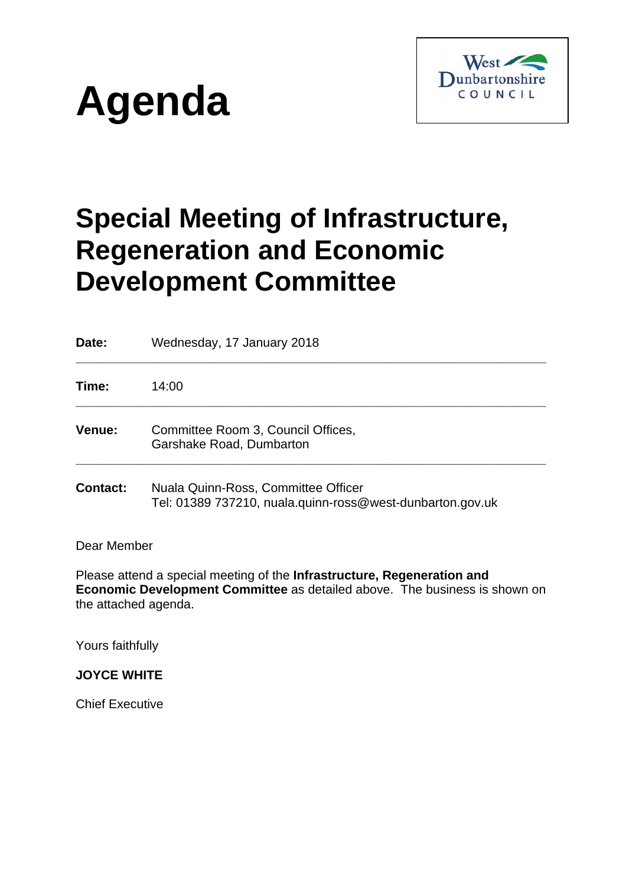



# **Special Meeting of Infrastructure, Regeneration and Economic Development Committee**

**Date:** Wednesday, 17 January 2018 **\_\_\_\_\_\_\_\_\_\_\_\_\_\_\_\_\_\_\_\_\_\_\_\_\_\_\_\_\_\_\_\_\_\_\_\_\_\_\_\_\_\_\_\_\_\_\_\_\_\_\_\_\_\_\_\_\_\_\_\_\_\_\_\_\_\_\_ Time:** 14:00 **\_\_\_\_\_\_\_\_\_\_\_\_\_\_\_\_\_\_\_\_\_\_\_\_\_\_\_\_\_\_\_\_\_\_\_\_\_\_\_\_\_\_\_\_\_\_\_\_\_\_\_\_\_\_\_\_\_\_\_\_\_\_\_\_\_\_\_ Venue:** Committee Room 3, Council Offices, Garshake Road, Dumbarton **\_\_\_\_\_\_\_\_\_\_\_\_\_\_\_\_\_\_\_\_\_\_\_\_\_\_\_\_\_\_\_\_\_\_\_\_\_\_\_\_\_\_\_\_\_\_\_\_\_\_\_\_\_\_\_\_\_\_\_\_\_\_\_\_\_\_\_ Contact:** Nuala Quinn-Ross, Committee Officer Tel: 01389 737210, nuala.quinn-ross@west-dunbarton.gov.uk Dear Member Please attend a special meeting of the **Infrastructure, Regeneration and** 

**Economic Development Committee** as detailed above. The business is shown on the attached agenda.

Yours faithfully

**JOYCE WHITE** 

Chief Executive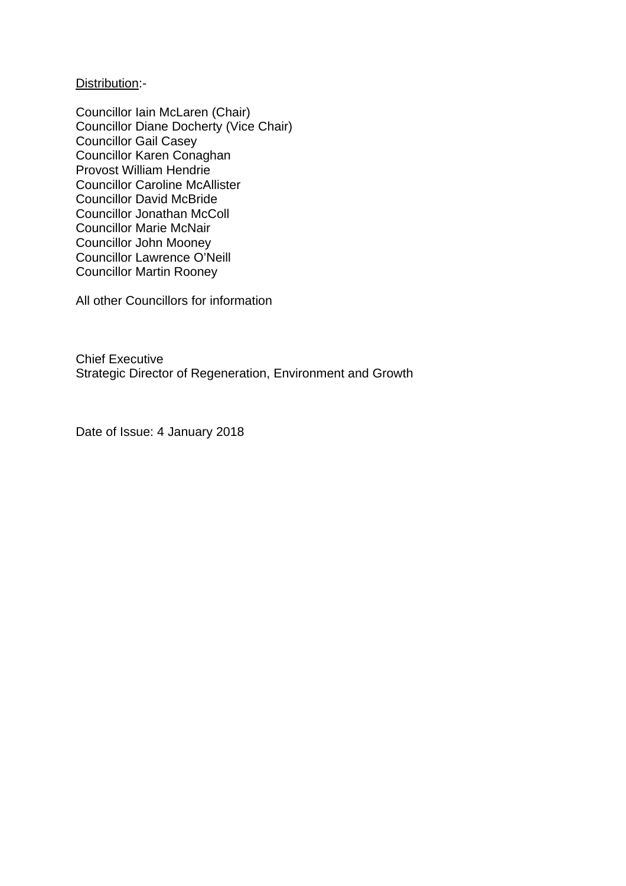Distribution:-

Councillor Iain McLaren (Chair) Councillor Diane Docherty (Vice Chair) Councillor Gail Casey Councillor Karen Conaghan Provost William Hendrie Councillor Caroline McAllister Councillor David McBride Councillor Jonathan McColl Councillor Marie McNair Councillor John Mooney Councillor Lawrence O'Neill Councillor Martin Rooney

All other Councillors for information

Chief Executive Strategic Director of Regeneration, Environment and Growth

Date of Issue: 4 January 2018